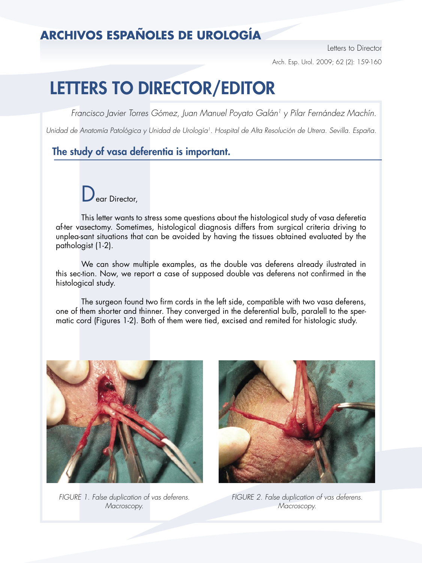## **ARCHIVOS ESPAÑOLES DE UROLOGÍA**

Letters to Director Arch. Esp. Urol. 2009; 62 (2): 159-160

# LETTERS TO DIRECTOR/EDITOR

Francisco Javier Torres Gómez, Juan Manuel Poyato Galán<sup>1</sup> y Pilar Fernández Machín.

Unidad de Anatomía Patológica y Unidad de Urología<sup>1</sup>. Hospital de Alta Resolución de Utrera. Sevilla. España.

## The study of vasa deferentia is important.

ear Director.

This letter wants to stress some questions about the histological study of vasa deferetia af-ter vasectomy. Sometimes, histological diagnosis differs from surgical criteria driving to unplea-sant situations that can be avoided by having the tissues obtained evaluated by the pathologist (1-2).

 We can show multiple examples, as the double vas deferens already ilustrated in this sec-tion. Now, we report a case of supposed double vas deferens not confirmed in the histological study.

 The surgeon found two firm cords in the left side, compatible with two vasa deferens, one of them shorter and thinner. They converged in the deferential bulb, paralell to the spermatic cord (Figures 1-2). Both of them were tied, excised and remited for histologic study.



FIGURE 1. False duplication of vas deferens. Macroscopy.



FIGURE 2. False duplication of vas deferens. Macroscopy.